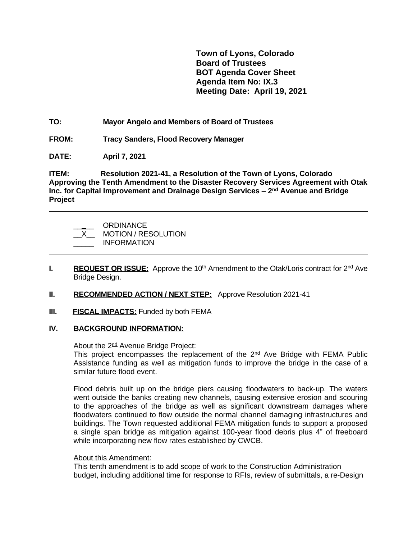**Town of Lyons, Colorado Board of Trustees BOT Agenda Cover Sheet Agenda Item No: IX.3 Meeting Date: April 19, 2021**

 **\_\_\_\_\_\_**

**TO: Mayor Angelo and Members of Board of Trustees**

**FROM: Tracy Sanders, Flood Recovery Manager**

**DATE: April 7, 2021**

 $\overline{a}$ 

**ITEM: Resolution 2021-41, a Resolution of the Town of Lyons, Colorado Approving the Tenth Amendment to the Disaster Recovery Services Agreement with Otak Inc. for Capital Improvement and Drainage Design Services – 2 nd Avenue and Bridge Project**

| <b>ORDINANCE</b>           |
|----------------------------|
| <b>MOTION / RESOLUTION</b> |
| <b>INFORMATION</b>         |

- **I. REQUEST OR ISSUE:** Approve the 10<sup>th</sup> Amendment to the Otak/Loris contract for 2<sup>nd</sup> Ave Bridge Design.
- **II.** RECOMMENDED **ACTION** / NEXT STEP: Approve Resolution 2021-41
- **III. FISCAL IMPACTS:** Funded by both FEMA

### **IV. BACKGROUND INFORMATION:**

About the 2<sup>nd</sup> Avenue Bridge Project:

This project encompasses the replacement of the 2<sup>nd</sup> Ave Bridge with FEMA Public Assistance funding as well as mitigation funds to improve the bridge in the case of a similar future flood event.

Flood debris built up on the bridge piers causing floodwaters to back-up. The waters went outside the banks creating new channels, causing extensive erosion and scouring to the approaches of the bridge as well as significant downstream damages where floodwaters continued to flow outside the normal channel damaging infrastructures and buildings. The Town requested additional FEMA mitigation funds to support a proposed a single span bridge as mitigation against 100-year flood debris plus 4" of freeboard while incorporating new flow rates established by CWCB.

# About this Amendment:

This tenth amendment is to add scope of work to the Construction Administration budget, including additional time for response to RFIs, review of submittals, a re-Design